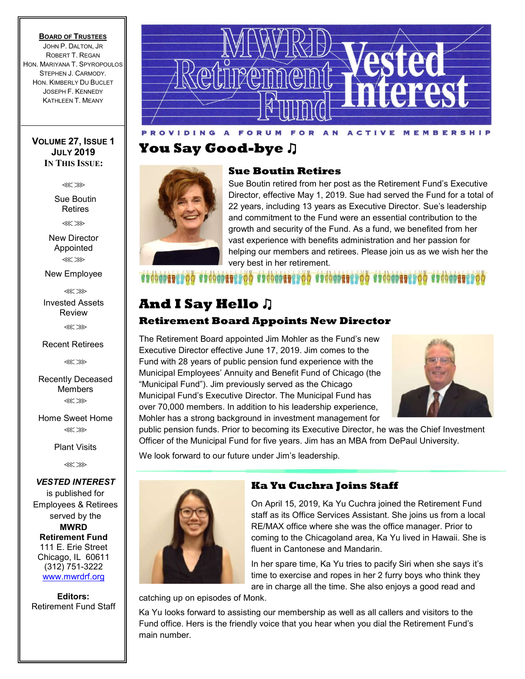#### **BOARD OF TRUSTEES**

JOHN P. DALTON, JR ROBERT T. REGAN HON. MARIYANA T. SPYROPOULOS STEPHEN J. CARMODY. HON. KIMBERLY DU BUCLET JOSEPH F. KENNEDY KATHLEEN T. MEANY

#### **VOLUME 27, ISSUE 1 JULY 2019 IN THIS ISSUE:**

⋘⋙

Sue Boutin Retires

⋘⋙

New Director Appointed ⋘⋙

New Employee

⋘⋙

Invested Assets Review

⋘⋙

Recent Retirees

⋘⋙

Recently Deceased Members ⋘⋙

Home Sweet Home ⋘⋙

Plant Visits

⋘⋙

*VESTED INTEREST* is published for Employees & Retirees served by the **MWRD Retirement Fund** 111 E. Erie Street Chicago, IL 60611 (312) 751-3222 www.mwrdrf.org

**Editors:**  Retirement Fund Staff



## **You Say Good-bye** ♫



### **Sue Boutin Retires**

Sue Boutin retired from her post as the Retirement Fund's Executive Director, effective May 1, 2019. Sue had served the Fund for a total of 22 years, including 13 years as Executive Director. Sue's leadership and commitment to the Fund were an essential contribution to the growth and security of the Fund. As a fund, we benefited from her vast experience with benefits administration and her passion for helping our members and retirees. Please join us as we wish her the very best in her retirement.

### **SPORTO COOL COOLDERS CO COOLDERS CO COOLDERS CO COOLDERS**

### **And I Say Hello** ♫ **Retirement Board Appoints New Director**

The Retirement Board appointed Jim Mohler as the Fund's new Executive Director effective June 17, 2019. Jim comes to the Fund with 28 years of public pension fund experience with the Municipal Employees' Annuity and Benefit Fund of Chicago (the "Municipal Fund"). Jim previously served as the Chicago Municipal Fund's Executive Director. The Municipal Fund has over 70,000 members. In addition to his leadership experience, Mohler has a strong background in investment management for



public pension funds. Prior to becoming its Executive Director, he was the Chief Investment Officer of the Municipal Fund for five years. Jim has an MBA from DePaul University.

We look forward to our future under Jim's leadership.



### **Ka Yu Cuchra Joins Staff**

On April 15, 2019, Ka Yu Cuchra joined the Retirement Fund staff as its Office Services Assistant. She joins us from a local RE/MAX office where she was the office manager. Prior to coming to the Chicagoland area, Ka Yu lived in Hawaii. She is fluent in Cantonese and Mandarin.

In her spare time, Ka Yu tries to pacify Siri when she says it's time to exercise and ropes in her 2 furry boys who think they are in charge all the time. She also enjoys a good read and

catching up on episodes of Monk.

Ka Yu looks forward to assisting our membership as well as all callers and visitors to the Fund office. Hers is the friendly voice that you hear when you dial the Retirement Fund's main number.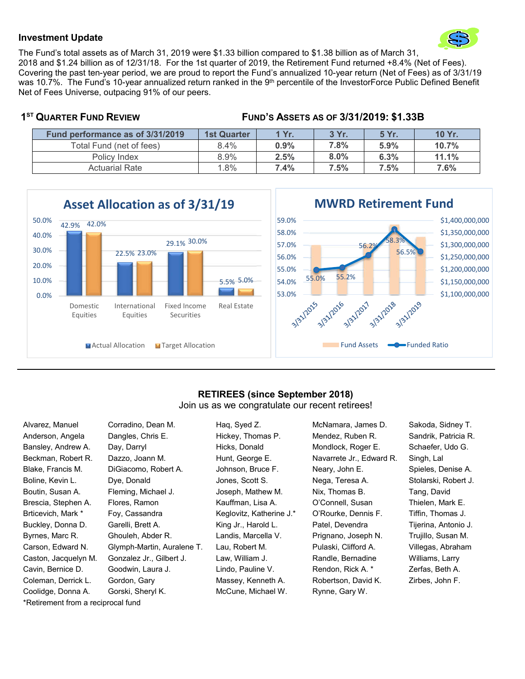

#### **Investment Update**

The Fund's total assets as of March 31, 2019 were \$1.33 billion compared to \$1.38 billion as of March 31, 2018 and \$1.24 billion as of 12/31/18. For the 1st quarter of 2019, the Retirement Fund returned +8.4% (Net of Fees). Covering the past ten-year period, we are proud to report the Fund's annualized 10-year return (Net of Fees) as of 3/31/19 was 10.7%. The Fund's 10-year annualized return ranked in the 9<sup>th</sup> percentile of the InvestorForce Public Defined Benefit Net of Fees Universe, outpacing 91% of our peers.

#### **1ST QUARTER FUND REVIEW FUND'S ASSETS AS OF 3/31/2019: \$1.33B**

| Fund performance as of 3/31/2019 | <b>1st Quarter</b> | 1 Yr. | 3 Yr. | 5 Yr. | 10 Yr. |
|----------------------------------|--------------------|-------|-------|-------|--------|
| Total Fund (net of fees)         | $8.4\%$            | 0.9%  | 7.8%  | 5.9%  | 10.7%  |
| Policy Index                     | 8.9%               | 2.5%  | 8.0%  | 6.3%  | 11.1%  |
| <b>Actuarial Rate</b>            | $.8\%$             | 7.4%  | 7.5%  | 7.5%  | 7.6%   |



### **RETIREES (since September 2018)**

Join us as we congratulate our recent retirees!

\*Retirement from a reciprocal fund

Alvarez, Manuel Corradino, Dean M. Haq, Syed Z. McNamara, James D. Sakoda, Sidney T. Anderson, Angela Dangles, Chris E. Hickey, Thomas P. Mendez, Ruben R. Sandrik, Patricia R. Bansley, Andrew A. Day, Darryl **Hicks, Donald Mondlock, Roger E.** Schaefer, Udo G. Beckman, Robert R. Dazzo, Joann M. Hunt, George E. Navarrete Jr., Edward R. Singh, Lal Blake, Francis M. DiGiacomo, Robert A. Johnson, Bruce F. Neary, John E. Spieles, Denise A. Boline, Kevin L. Dye, Donald **Jones, Scott S. Nega, Teresa A.** Stolarski, Robert J. Boutin, Susan A. Fleming, Michael J. Joseph, Mathew M. Nix, Thomas B. Tang, David Brescia, Stephen A. Flores, Ramon **Kauffman, Lisa A. Comnell, Susan Thielen**, Mark E. Brticevich, Mark \* Foy, Cassandra \* Keglovitz, Katherine J. \* O'Rourke, Dennis F. Tiffin, Thomas J. Buckley, Donna D. Garelli, Brett A. King Jr., Harold L. Patel, Devendra Tijerina, Antonio J. Byrnes, Marc R. Ghouleh, Abder R. Landis, Marcella V. Prignano, Joseph N. Trujillo, Susan M. Carson, Edward N. Glymph-Martin, Auralene T. Lau, Robert M. Pulaski, Clifford A. Villegas, Abraham Caston, Jacquelyn M. Gonzalez Jr., Gilbert J. Law, William J. Randle, Bernadine Williams, Larry Cavin, Bernice D. Goodwin, Laura J. Lindo, Pauline V. Rendon, Rick A. \* Zerfas, Beth A. Coleman, Derrick L. Gordon, Gary **Massey, Kenneth A.** Robertson, David K. Zirbes, John F. Coolidge, Donna A. Gorski, Sheryl K. McCune, Michael W. Rynne, Gary W.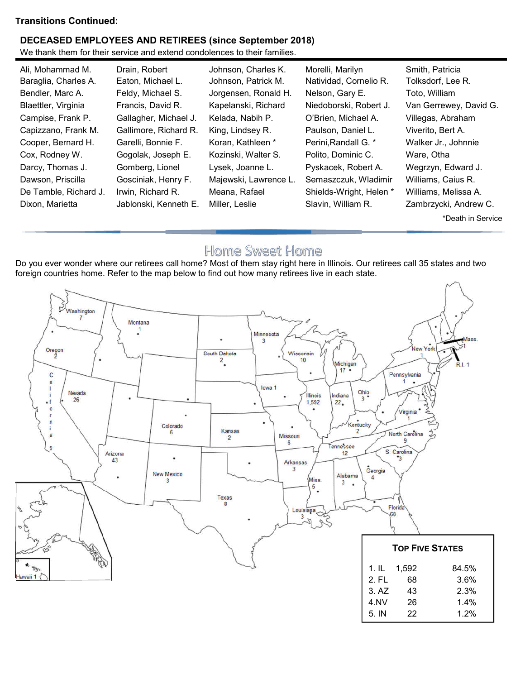### **Transitions Continued:**

### **DECEASED EMPLOYEES AND RETIREES (since September 2018)**

We thank them for their service and extend condolences to their families.

| Ali, Mohammad M.      | Drain, Robert         | Johnson, Charles K.   | Morelli, Marilyn        | Smith, Patricia        |
|-----------------------|-----------------------|-----------------------|-------------------------|------------------------|
| Baraglia, Charles A.  | Eaton, Michael L.     | Johnson, Patrick M.   | Natividad, Cornelio R.  | Tolksdorf, Lee R.      |
| Bendler, Marc A.      | Feldy, Michael S.     | Jorgensen, Ronald H.  | Nelson, Gary E.         | Toto, William          |
| Blaettler, Virginia   | Francis, David R.     | Kapelanski, Richard   | Niedoborski, Robert J.  | Van Gerrewey, David G. |
| Campise, Frank P.     | Gallagher, Michael J. | Kelada, Nabih P.      | O'Brien, Michael A.     | Villegas, Abraham      |
| Capizzano, Frank M.   | Gallimore, Richard R. | King, Lindsey R.      | Paulson, Daniel L.      | Viverito, Bert A.      |
| Cooper, Bernard H.    | Garelli, Bonnie F.    | Koran, Kathleen *     | Perini, Randall G. *    | Walker Jr., Johnnie    |
| Cox, Rodney W.        | Gogolak, Joseph E.    | Kozinski, Walter S.   | Polito, Dominic C.      | Ware, Otha             |
| Darcy, Thomas J.      | Gomberg, Lionel       | Lysek, Joanne L.      | Pyskacek, Robert A.     | Wegrzyn, Edward J.     |
| Dawson, Priscilla     | Gosciniak, Henry F.   | Majewski, Lawrence L. | Semaszczuk, Wladimir    | Williams, Caius R.     |
| De Tamble, Richard J. | Irwin, Richard R.     | Meana, Rafael         | Shields-Wright, Helen * | Williams, Melissa A.   |
| Dixon, Marietta       | Jablonski, Kenneth E. | Miller, Leslie        | Slavin, William R.      | Zambrzycki, Andrew C.  |
|                       |                       |                       |                         | *Death in Service      |

## Home Sweet Home

Do you ever wonder where our retirees call home? Most of them stay right here in Illinois. Our retirees call 35 states and two foreign countries home. Refer to the map below to find out how many retirees live in each state.

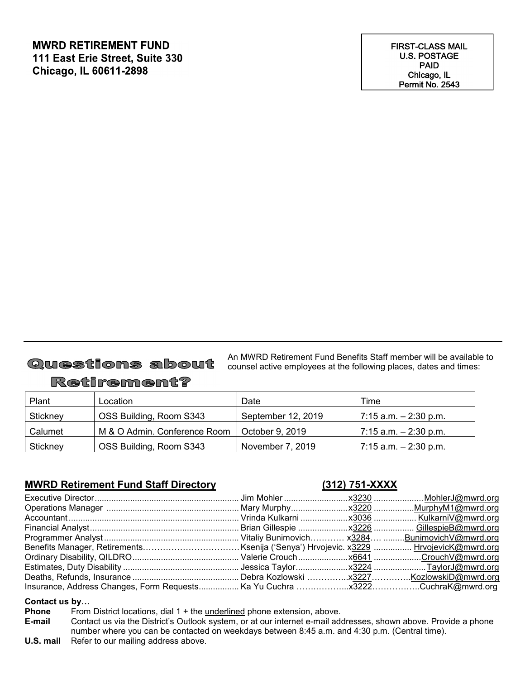### **MWRD RETIREMENT FUND** 111 East Erie Street, Suite 330 **Chicago, IL 60611-2898**

# Questions about

An MWRD Retirement Fund Benefits Staff member will be available to counsel active employees at the following places, dates and times:

## Retirement?

| Plant    | Location                     | Date               | Time                     |
|----------|------------------------------|--------------------|--------------------------|
| Stickney | OSS Building, Room S343      | September 12, 2019 | $7:15$ a.m. $-2:30$ p.m. |
| Calumet  | M & O Admin. Conference Room | October 9, 2019    | $7:15$ a.m. $-2:30$ p.m. |
| Stickney | OSS Building, Room S343      | November 7, 2019   | $7:15$ a.m. $-2:30$ p.m. |

### **MWRD Retirement Fund Staff Directory (312) 751-XXXX**

#### **Contact us by…**

**Phone** From District locations, dial 1 + the <u>underlined</u> phone extension, above.<br>**E-mail** Contact us via the District's Outlook system, or at our internet e-mail add

- Contact us via the District's Outlook system, or at our internet e-mail addresses, shown above. Provide a phone number where you can be contacted on weekdays between 8:45 a.m. and 4:30 p.m. (Central time).
- **U.S. mail** Refer to our mailing address above.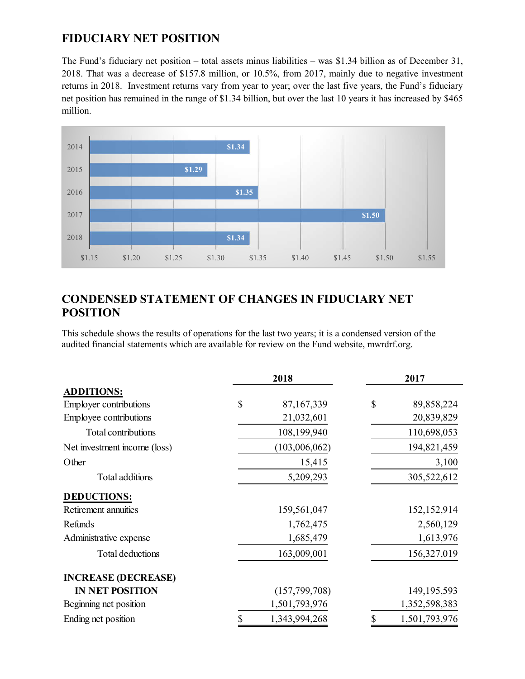### **FIDUCIARY NET POSITION**

The Fund's fiduciary net position – total assets minus liabilities – was \$1.34 billion as of December 31, 2018. That was a decrease of \$157.8 million, or 10.5%, from 2017, mainly due to negative investment returns in 2018. Investment returns vary from year to year; over the last five years, the Fund's fiduciary net position has remained in the range of \$1.34 billion, but over the last 10 years it has increased by \$465 million.



### **CONDENSED STATEMENT OF CHANGES IN FIDUCIARY NET POSITION**

This schedule shows the results of operations for the last two years; it is a condensed version of the audited financial statements which are available for review on the Fund website, mwrdrf.org.

|                               |    | 2018            |    | 2017          |
|-------------------------------|----|-----------------|----|---------------|
| <b>ADDITIONS:</b>             |    |                 |    |               |
| <b>Employer contributions</b> | \$ | 87,167,339      | \$ | 89,858,224    |
| Employee contributions        |    | 21,032,601      |    | 20,839,829    |
| Total contributions           |    | 108,199,940     |    | 110,698,053   |
| Net investment income (loss)  |    | (103,006,062)   |    | 194,821,459   |
| Other                         |    | 15,415          |    | 3,100         |
| Total additions               |    | 5,209,293       |    | 305,522,612   |
| <b>DEDUCTIONS:</b>            |    |                 |    |               |
| Retirement annuities          |    | 159,561,047     |    | 152,152,914   |
| Refunds                       |    | 1,762,475       |    | 2,560,129     |
| Administrative expense        |    | 1,685,479       |    | 1,613,976     |
| Total deductions              |    | 163,009,001     |    | 156,327,019   |
| <b>INCREASE (DECREASE)</b>    |    |                 |    |               |
| <b>IN NET POSITION</b>        |    | (157, 799, 708) |    | 149, 195, 593 |
| Beginning net position        |    | 1,501,793,976   |    | 1,352,598,383 |
| Ending net position           | S  | 1,343,994,268   | \$ | 1,501,793,976 |